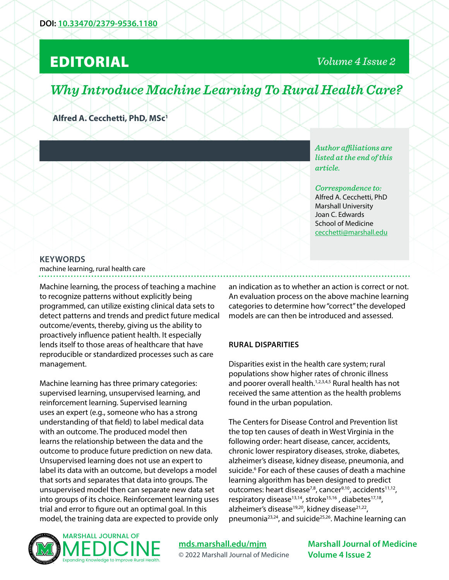## EDITORIAL

*Volume 4 Issue 2*

# *Why Introduce Machine Learning To Rural Health Care?*

**Alfred A. Cecchetti, PhD, MSc1** 

*Author affiliations are listed at the end of this article.* 

*Correspondence to:*  Alfred A. Cecchetti, PhD Marshall University Joan C. Edwards School of Medicine [cecchetti@marshall.edu](mailto:cecchetti%40marshall.edu?subject=)

#### **KEYWORDS**

machine learning, rural health care

Machine learning, the process of teaching a machine to recognize patterns without explicitly being programmed, can utilize existing clinical data sets to detect patterns and trends and predict future medical outcome/events, thereby, giving us the ability to proactively influence patient health. It especially lends itself to those areas of healthcare that have reproducible or standardized processes such as care management.

Machine learning has three primary categories: supervised learning, unsupervised learning, and reinforcement learning. Supervised learning uses an expert (e.g., someone who has a strong understanding of that field) to label medical data with an outcome. The produced model then learns the relationship between the data and the outcome to produce future prediction on new data. Unsupervised learning does not use an expert to label its data with an outcome, but develops a model that sorts and separates that data into groups. The unsupervised model then can separate new data set into groups of its choice. Reinforcement learning uses trial and error to figure out an optimal goal. In this model, the training data are expected to provide only

an indication as to whether an action is correct or not. An evaluation process on the above machine learning categories to determine how "correct" the developed models are can then be introduced and assessed.

## **RURAL DISPARITIES**

Disparities exist in the health care system; rural populations show higher rates of chronic illness and poorer overall health.<sup>1,2,3,4,5</sup> Rural health has not received the same attention as the health problems found in the urban population.

The Centers for Disease Control and Prevention list the top ten causes of death in West Virginia in the following order: heart disease, cancer, accidents, chronic lower respiratory diseases, stroke, diabetes, alzheimer's disease, kidney disease, pneumonia, and suicide.<sup>6</sup> For each of these causes of death a machine learning algorithm has been designed to predict outcomes: heart disease<sup>7,8</sup>, cancer<sup>9,10</sup>, accidents<sup>11,12</sup>, respiratory disease<sup>13,14</sup>, stroke<sup>15,16</sup>, diabetes<sup>17,18</sup>, alzheimer's disease<sup>19,20</sup>, kidney disease<sup>21,22</sup>, pneumonia<sup>23,24</sup>, and suicide<sup>25,26</sup>. Machine learning can



**[mds.marshall.edu/mjm](https://mds.marshall.edu/mjm/)** © 2022 Marshall Journal of Medicine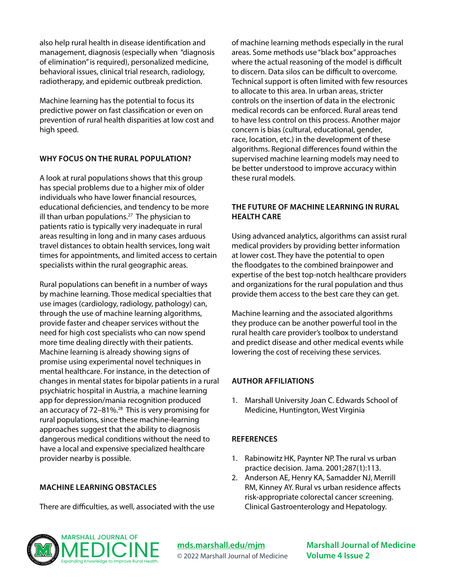also help rural health in disease identification and management, diagnosis (especially when "diagnosis of elimination" is required), personalized medicine, behavioral issues, clinical trial research, radiology, radiotherapy, and epidemic outbreak prediction.

Machine learning has the potential to focus its predictive power on fast classification or even on prevention of rural health disparities at low cost and high speed.

## **WHY FOCUS ON THE RURAL POPULATION?**

A look at rural populations shows that this group has special problems due to a higher mix of older individuals who have lower financial resources, educational deficiencies, and tendency to be more ill than urban populations. $27$  The physician to patients ratio is typically very inadequate in rural areas resulting in long and in many cases arduous travel distances to obtain health services, long wait times for appointments, and limited access to certain specialists within the rural geographic areas.

Rural populations can benefit in a number of ways by machine learning. Those medical specialties that use images (cardiology, radiology, pathology) can, through the use of machine learning algorithms, provide faster and cheaper services without the need for high cost specialists who can now spend more time dealing directly with their patients. Machine learning is already showing signs of promise using experimental novel techniques in mental healthcare. For instance, in the detection of changes in mental states for bipolar patients in a rural psychiatric hospital in Austria, a machine learning app for depression/mania recognition produced an accuracy of 72-81%.<sup>28</sup> This is very promising for rural populations, since these machine-learning approaches suggest that the ability to diagnosis dangerous medical conditions without the need to have a local and expensive specialized healthcare provider nearby is possible.

## **MACHINE LEARNING OBSTACLES**

There are difficulties, as well, associated with the use

of machine learning methods especially in the rural areas. Some methods use "black box" approaches where the actual reasoning of the model is difficult to discern. Data silos can be difficult to overcome. Technical support is often limited with few resources to allocate to this area. In urban areas, stricter controls on the insertion of data in the electronic medical records can be enforced. Rural areas tend to have less control on this process. Another major concern is bias (cultural, educational, gender, race, location, etc.) in the development of these algorithms. Regional differences found within the supervised machine learning models may need to be better understood to improve accuracy within these rural models.

## **THE FUTURE OF MACHINE LEARNING IN RURAL HEALTH CARE**

Using advanced analytics, algorithms can assist rural medical providers by providing better information at lower cost. They have the potential to open the floodgates to the combined brainpower and expertise of the best top-notch healthcare providers and organizations for the rural population and thus provide them access to the best care they can get.

Machine learning and the associated algorithms they produce can be another powerful tool in the rural health care provider's toolbox to understand and predict disease and other medical events while lowering the cost of receiving these services.

## **AUTHOR AFFILIATIONS**

1. Marshall University Joan C. Edwards School of Medicine, Huntington, West Virginia

## **REFERENCES**

- 1. Rabinowitz HK, Paynter NP. The rural vs urban practice decision. Jama. 2001;287(1):113.
- 2. Anderson AE, Henry KA, Samadder NJ, Merrill RM, Kinney AY. Rural vs urban residence affects risk-appropriate colorectal cancer screening. Clinical Gastroenterology and Hepatology.



**[mds.marshall.edu/mjm](https://mds.marshall.edu/mjm/)** © 2022 Marshall Journal of Medicine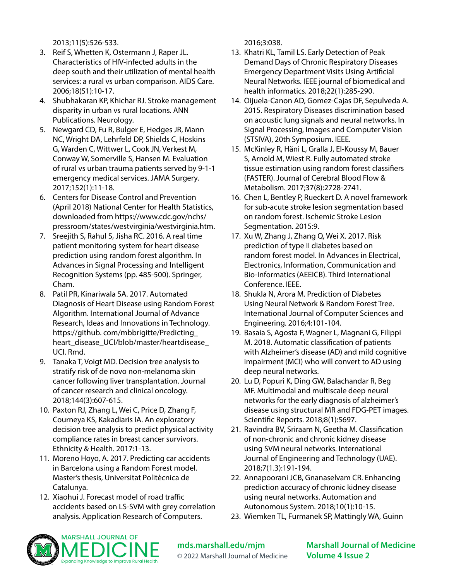2013;11(5):526-533.

- 3. Reif S, Whetten K, Ostermann J, Raper JL. Characteristics of HIV-infected adults in the deep south and their utilization of mental health services: a rural vs urban comparison. AIDS Care. 2006;18(S1):10-17.
- 4. Shubhakaran KP, Khichar RJ. Stroke management disparity in urban vs rural locations. ANN Publications. Neurology.
- 5. Newgard CD, Fu R, Bulger E, Hedges JR, Mann NC, Wright DA, Lehrfeld DP, Shields C, Hoskins G, Warden C, Wittwer L, Cook JN, Verkest M, Conway W, Somerville S, Hansen M. Evaluation of rural vs urban trauma patients served by 9-1-1 emergency medical services. JAMA Surgery. 2017;152(1):11-18.
- 6. Centers for Disease Control and Prevention (April 2018) National Center for Health Statistics, downloaded from https://www.cdc.gov/nchs/ pressroom/states/westvirginia/westvirginia.htm.
- 7. Sreejith S, Rahul S, Jisha RC. 2016. A real time patient monitoring system for heart disease prediction using random forest algorithm. In Advances in Signal Processing and Intelligent Recognition Systems (pp. 485-500). Springer, Cham.
- 8. Patil PR, Kinariwala SA. 2017. Automated Diagnosis of Heart Disease using Random Forest Algorithm. International Journal of Advance Research, Ideas and Innovations in Technology. https://github. com/mbbrigitte/Predicting\_ heart\_disease\_UCI/blob/master/heartdisease\_ UCI. Rmd.
- 9. Tanaka T, Voigt MD. Decision tree analysis to stratify risk of de novo non-melanoma skin cancer following liver transplantation. Journal of cancer research and clinical oncology. 2018;144(3):607-615.
- 10. Paxton RJ, Zhang L, Wei C, Price D, Zhang F, Courneya KS, Kakadiaris IA. An exploratory decision tree analysis to predict physical activity compliance rates in breast cancer survivors. Ethnicity & Health. 2017:1-13.
- 11. Moreno Hoyo, A. 2017. Predicting car accidents in Barcelona using a Random Forest model. Master's thesis, Universitat Politècnica de Catalunya.
- 12. Xiaohui J. Forecast model of road traffic accidents based on LS-SVM with grey correlation analysis. Application Research of Computers.

2016;3:038.

- 13. Khatri KL, Tamil LS. Early Detection of Peak Demand Days of Chronic Respiratory Diseases Emergency Department Visits Using Artificial Neural Networks. IEEE journal of biomedical and health informatics. 2018;22(1):285-290.
- 14. Oijuela-Canon AD, Gomez-Cajas DF, Sepulveda A. 2015. Respiratory Diseases discrimination based on acoustic lung signals and neural networks. In Signal Processing, Images and Computer Vision (STSIVA), 20th Symposium. IEEE.
- 15. McKinley R, Häni L, Gralla J, El-Koussy M, Bauer S, Arnold M, Wiest R. Fully automated stroke tissue estimation using random forest classifiers (FASTER). Journal of Cerebral Blood Flow & Metabolism. 2017;37(8):2728-2741.
- 16. Chen L, Bentley P, Rueckert D. A novel framework for sub-acute stroke lesion segmentation based on random forest. Ischemic Stroke Lesion Segmentation. 2015:9.
- 17. Xu W, Zhang J, Zhang Q, Wei X. 2017. Risk prediction of type II diabetes based on random forest model. In Advances in Electrical, Electronics, Information, Communication and Bio-Informatics (AEEICB). Third International Conference. IEEE.
- 18. Shukla N, Arora M. Prediction of Diabetes Using Neural Network & Random Forest Tree. International Journal of Computer Sciences and Engineering. 2016;4:101-104.
- 19. Basaia S, Agosta F, Wagner L, Magnani G, Filippi M. 2018. Automatic classification of patients with Alzheimer's disease (AD) and mild cognitive impairment (MCI) who will convert to AD using deep neural networks.
- 20. Lu D, Popuri K, Ding GW, Balachandar R, Beg MF. Multimodal and multiscale deep neural networks for the early diagnosis of alzheimer's disease using structural MR and FDG-PET images. Scientific Reports. 2018;8(1):5697.
- 21. Ravindra BV, Sriraam N, Geetha M. Classification of non-chronic and chronic kidney disease using SVM neural networks. International Journal of Engineering and Technology (UAE). 2018;7(1.3):191-194.
- 22. Annapoorani JCB, Gnanaselvam CR. Enhancing prediction accuracy of chronic kidney disease using neural networks. Automation and Autonomous System. 2018;10(1):10-15.
- 23. Wiemken TL, Furmanek SP, Mattingly WA, Guinn



**[mds.marshall.edu/mjm](https://mds.marshall.edu/mjm/)** © 2022 Marshall Journal of Medicine